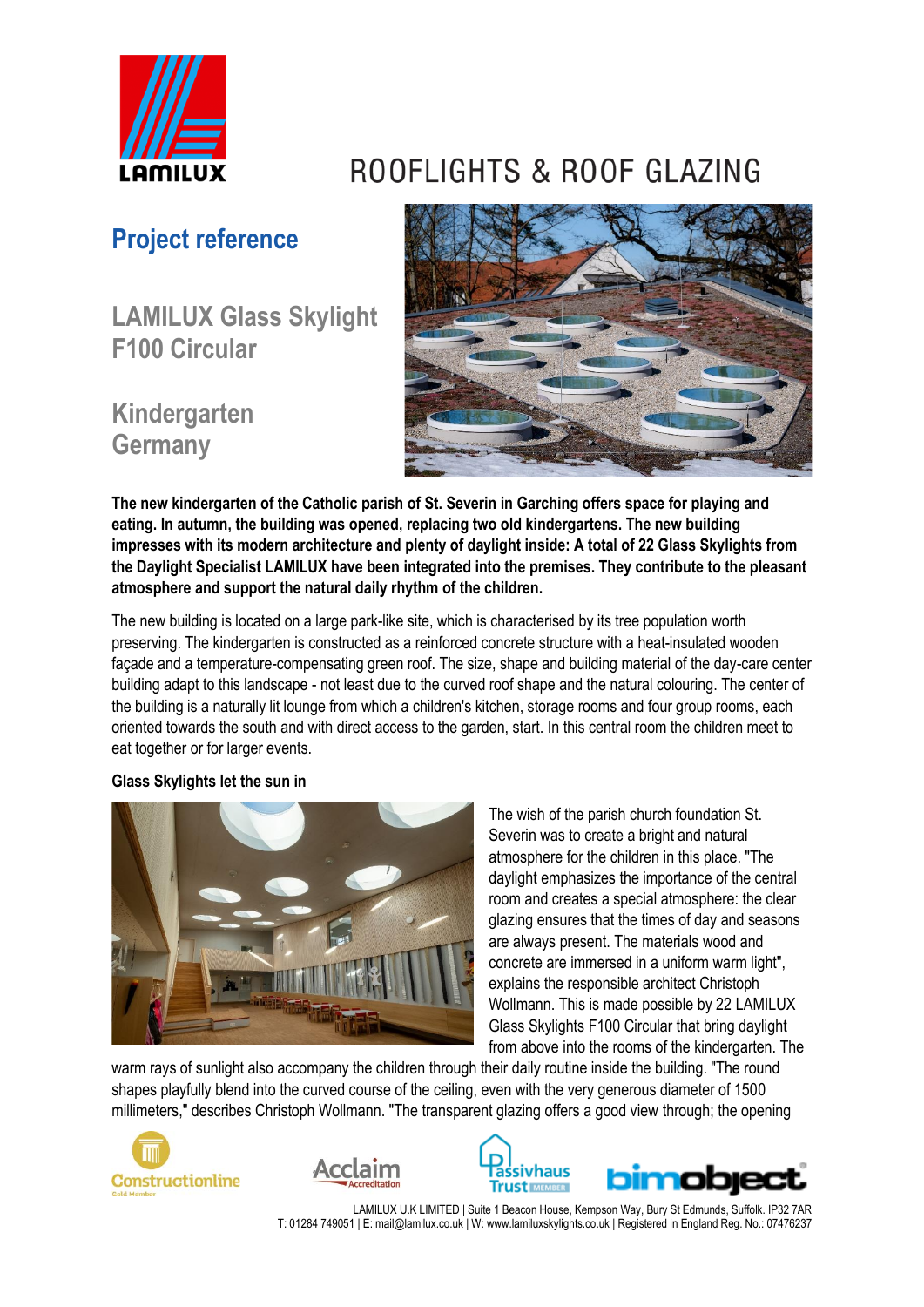

# **Project reference**

**LAMILUX Glass Skylight F100 Circular**

## **Kindergarten Germany**





**The new kindergarten of the Catholic parish of St. Severin in Garching offers space for playing and eating. In autumn, the building was opened, replacing two old kindergartens. The new building impresses with its modern architecture and plenty of daylight inside: A total of 22 Glass Skylights from the Daylight Specialist LAMILUX have been integrated into the premises. They contribute to the pleasant atmosphere and support the natural daily rhythm of the children.**

The new building is located on a large park-like site, which is characterised by its tree population worth preserving. The kindergarten is constructed as a reinforced concrete structure with a heat-insulated wooden façade and a temperature-compensating green roof. The size, shape and building material of the day-care center building adapt to this landscape - not least due to the curved roof shape and the natural colouring. The center of the building is a naturally lit lounge from which a children's kitchen, storage rooms and four group rooms, each oriented towards the south and with direct access to the garden, start. In this central room the children meet to eat together or for larger events.

## **Glass Skylights let the sun in**



The wish of the parish church foundation St. Severin was to create a bright and natural atmosphere for the children in this place. "The daylight emphasizes the importance of the central room and creates a special atmosphere: the clear glazing ensures that the times of day and seasons are always present. The materials wood and concrete are immersed in a uniform warm light", explains the responsible architect Christoph Wollmann. This is made possible by 22 LAMILUX Glass Skylights F100 Circular that bring daylight from above into the rooms of the kindergarten. The

warm rays of sunlight also accompany the children through their daily routine inside the building. "The round shapes playfully blend into the curved course of the ceiling, even with the very generous diameter of 1500 millimeters," describes Christoph Wollmann. "The transparent glazing offers a good view through; the opening







LAMILUX U.K LIMITED | Suite 1 Beacon House, Kempson Way, Bury St Edmunds, Suffolk. IP32 7AR T: 01284 749051 | E: mail@lamilux.co.uk | W: www.lamiluxskylights.co.uk | Registered in England Reg. No.: 07476237